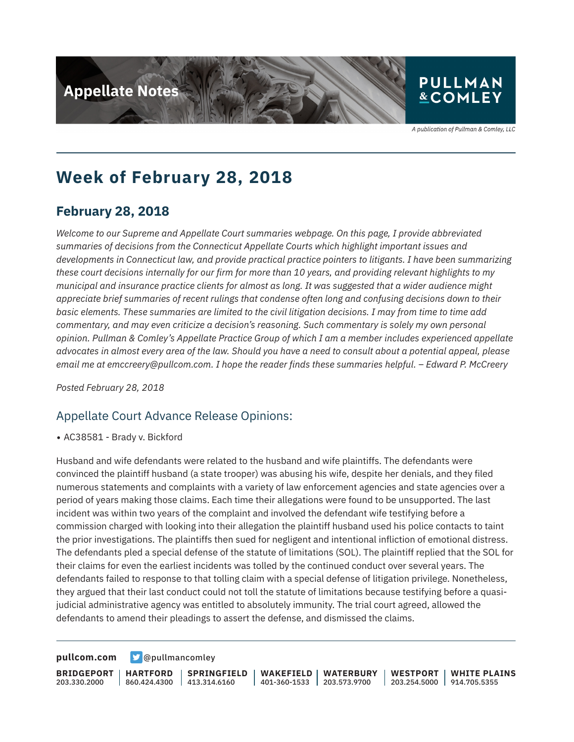

# **&COMLEY**

A publication of Pullman & Comley, LLC

## **Week of February 28, 2018**

## **February 28, 2018**

*Welcome to our Supreme and Appellate Court summaries webpage. On this page, I provide abbreviated summaries of decisions from the Connecticut Appellate Courts which highlight important issues and developments in Connecticut law, and provide practical practice pointers to litigants. I have been summarizing these court decisions internally for our firm for more than 10 years, and providing relevant highlights to my municipal and insurance practice clients for almost as long. It was suggested that a wider audience might appreciate brief summaries of recent rulings that condense often long and confusing decisions down to their basic elements. These summaries are limited to the civil litigation decisions. I may from time to time add commentary, and may even criticize a decision's reasoning. Such commentary is solely my own personal opinion. Pullman & Comley's Appellate Practice Group of which I am a member includes experienced appellate advocates in almost every area of the law. Should you have a need to consult about a potential appeal, please email me at emccreery@pullcom.com. I hope the reader finds these summaries helpful. – Edward P. McCreery*

*Posted February 28, 2018*

#### Appellate Court Advance Release Opinions:

● AC38581 - Brady v. Bickford

Husband and wife defendants were related to the husband and wife plaintiffs. The defendants were convinced the plaintiff husband (a state trooper) was abusing his wife, despite her denials, and they filed numerous statements and complaints with a variety of law enforcement agencies and state agencies over a period of years making those claims. Each time their allegations were found to be unsupported. The last incident was within two years of the complaint and involved the defendant wife testifying before a commission charged with looking into their allegation the plaintiff husband used his police contacts to taint the prior investigations. The plaintiffs then sued for negligent and intentional infliction of emotional distress. The defendants pled a special defense of the statute of limitations (SOL). The plaintiff replied that the SOL for their claims for even the earliest incidents was tolled by the continued conduct over several years. The defendants failed to response to that tolling claim with a special defense of litigation privilege. Nonetheless, they argued that their last conduct could not toll the statute of limitations because testifying before a quasijudicial administrative agency was entitled to absolutely immunity. The trial court agreed, allowed the defendants to amend their pleadings to assert the defense, and dismissed the claims.

**[pullcom.com](https://www.pullcom.com) g** [@pullmancomley](https://twitter.com/PullmanComley)

**BRIDGEPORT** 203.330.2000

**HARTFORD** 860.424.4300 413.314.6160

**SPRINGFIELD WAKEFIELD**

401-360-1533 203.573.9700 **WATERBURY**

**WESTPORT WHITE PLAINS** 203.254.5000 914.705.5355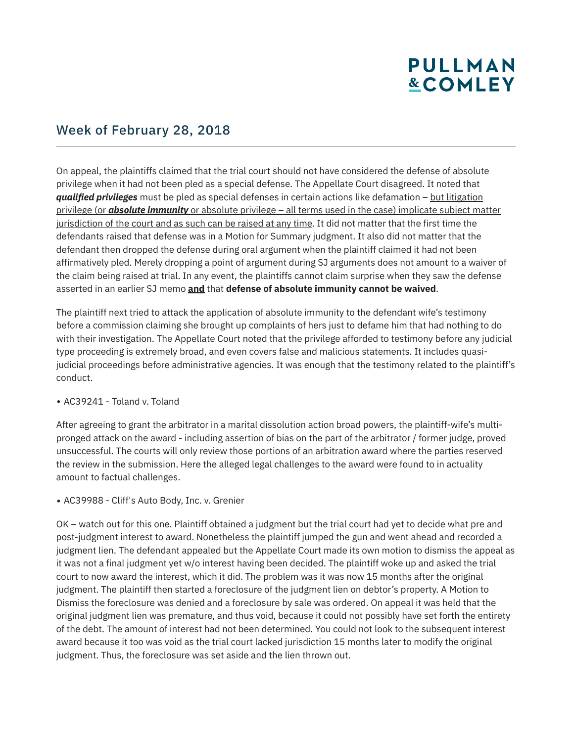## **PULLMAN &COMLEY**

### Week of February 28, 2018

On appeal, the plaintiffs claimed that the trial court should not have considered the defense of absolute privilege when it had not been pled as a special defense. The Appellate Court disagreed. It noted that *qualified privileges* must be pled as special defenses in certain actions like defamation – but litigation privilege (or *absolute immunity* or absolute privilege – all terms used in the case) implicate subject matter jurisdiction of the court and as such can be raised at any time. It did not matter that the first time the defendants raised that defense was in a Motion for Summary judgment. It also did not matter that the defendant then dropped the defense during oral argument when the plaintiff claimed it had not been affirmatively pled. Merely dropping a point of argument during SJ arguments does not amount to a waiver of the claim being raised at trial. In any event, the plaintiffs cannot claim surprise when they saw the defense asserted in an earlier SJ memo **and** that **defense of absolute immunity cannot be waived**.

The plaintiff next tried to attack the application of absolute immunity to the defendant wife's testimony before a commission claiming she brought up complaints of hers just to defame him that had nothing to do with their investigation. The Appellate Court noted that the privilege afforded to testimony before any judicial type proceeding is extremely broad, and even covers false and malicious statements. It includes quasijudicial proceedings before administrative agencies. It was enough that the testimony related to the plaintiff's conduct.

#### $\bullet$  AC39241 - Toland v. Toland

After agreeing to grant the arbitrator in a marital dissolution action broad powers, the plaintiff-wife's multipronged attack on the award - including assertion of bias on the part of the arbitrator / former judge, proved unsuccessful. The courts will only review those portions of an arbitration award where the parties reserved the review in the submission. Here the alleged legal challenges to the award were found to in actuality amount to factual challenges.

• AC39988 - Cliff's Auto Body, Inc. v. Grenier

OK – watch out for this one. Plaintiff obtained a judgment but the trial court had yet to decide what pre and post-judgment interest to award. Nonetheless the plaintiff jumped the gun and went ahead and recorded a judgment lien. The defendant appealed but the Appellate Court made its own motion to dismiss the appeal as it was not a final judgment yet w/o interest having been decided. The plaintiff woke up and asked the trial court to now award the interest, which it did. The problem was it was now 15 months after the original judgment. The plaintiff then started a foreclosure of the judgment lien on debtor's property. A Motion to Dismiss the foreclosure was denied and a foreclosure by sale was ordered. On appeal it was held that the original judgment lien was premature, and thus void, because it could not possibly have set forth the entirety of the debt. The amount of interest had not been determined. You could not look to the subsequent interest award because it too was void as the trial court lacked jurisdiction 15 months later to modify the original judgment. Thus, the foreclosure was set aside and the lien thrown out.